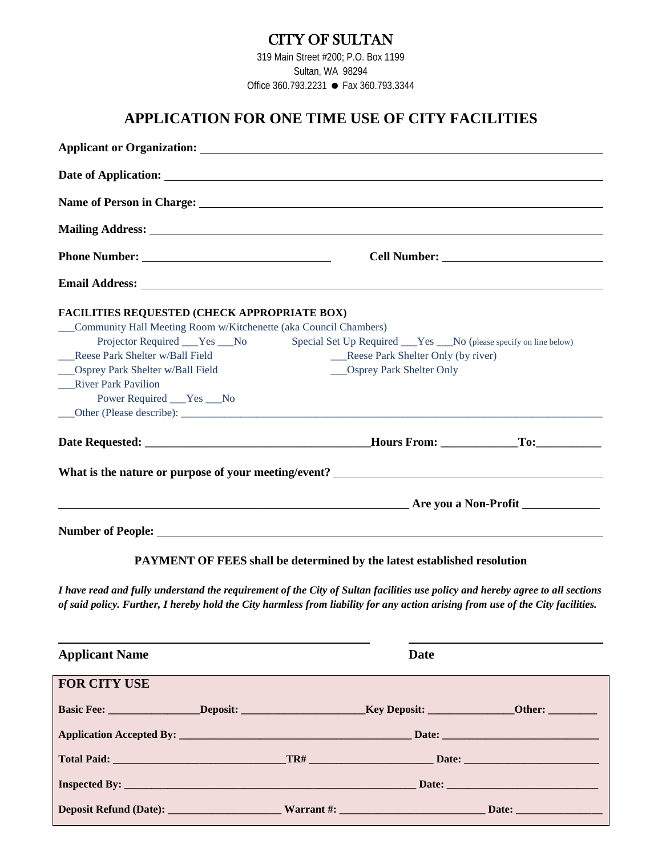### CITY OF SULTAN

319 Main Street #200; P.O. Box 1199 Sultan, WA 98294 Office 360.793.2231 ● Fax 360.793.3344

## **APPLICATION FOR ONE TIME USE OF CITY FACILITIES**

|                                                                    | <b>Mailing Address:</b> <u>Contract Construction of the Construction of the Construction of the Construction of the Construction of the Construction of the Construction of the Construction of the Construction of the Construction </u> |  |  |  |  |
|--------------------------------------------------------------------|-------------------------------------------------------------------------------------------------------------------------------------------------------------------------------------------------------------------------------------------|--|--|--|--|
|                                                                    |                                                                                                                                                                                                                                           |  |  |  |  |
|                                                                    |                                                                                                                                                                                                                                           |  |  |  |  |
| <b>FACILITIES REQUESTED (CHECK APPROPRIATE BOX)</b>                |                                                                                                                                                                                                                                           |  |  |  |  |
| __Community Hall Meeting Room w/Kitchenette (aka Council Chambers) |                                                                                                                                                                                                                                           |  |  |  |  |
| Projector Required _____Yes _____No                                | Special Set Up Required _____Yes ______No (please specify on line below)                                                                                                                                                                  |  |  |  |  |
| Reese Park Shelter w/Ball Field                                    | Reese Park Shelter Only (by river)                                                                                                                                                                                                        |  |  |  |  |
| ___Osprey Park Shelter w/Ball Field                                | ___Osprey Park Shelter Only                                                                                                                                                                                                               |  |  |  |  |
| <b>River Park Pavilion</b>                                         |                                                                                                                                                                                                                                           |  |  |  |  |
| Power Required ___ Yes ___ No                                      |                                                                                                                                                                                                                                           |  |  |  |  |
|                                                                    |                                                                                                                                                                                                                                           |  |  |  |  |
|                                                                    |                                                                                                                                                                                                                                           |  |  |  |  |
|                                                                    |                                                                                                                                                                                                                                           |  |  |  |  |
|                                                                    |                                                                                                                                                                                                                                           |  |  |  |  |
|                                                                    |                                                                                                                                                                                                                                           |  |  |  |  |

#### **PAYMENT OF FEES shall be determined by the latest established resolution**

*I have read and fully understand the requirement of the City of Sultan facilities use policy and hereby agree to all sections of said policy. Further, I hereby hold the City harmless from liability for any action arising from use of the City facilities.*

| <b>Applicant Name</b> |  | <b>Date</b> |  |
|-----------------------|--|-------------|--|
| <b>FOR CITY USE</b>   |  |             |  |
|                       |  |             |  |
|                       |  |             |  |
|                       |  |             |  |
|                       |  |             |  |
|                       |  |             |  |